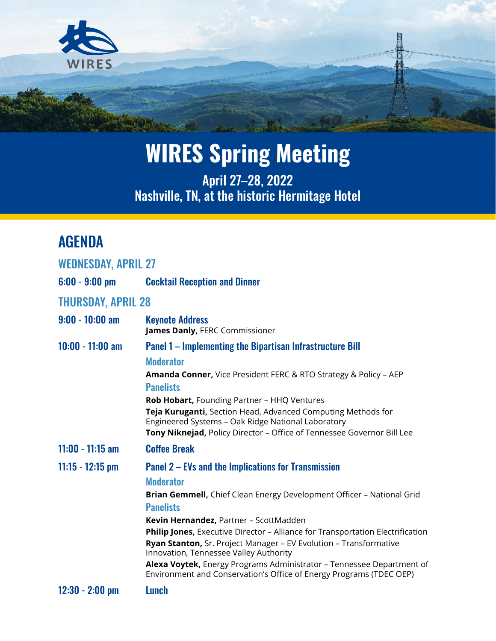

April 27–28, 2022 Nashville, TN, at the historic Hermitage Hotel

### AGENDA

| <b>WEDNESDAY, APRIL 27</b> |                                                                                                                                                                                                                                                                                                                                                                                                                                                                                                                                                                        |
|----------------------------|------------------------------------------------------------------------------------------------------------------------------------------------------------------------------------------------------------------------------------------------------------------------------------------------------------------------------------------------------------------------------------------------------------------------------------------------------------------------------------------------------------------------------------------------------------------------|
| $6:00 - 9:00$ pm           | <b>Cocktail Reception and Dinner</b>                                                                                                                                                                                                                                                                                                                                                                                                                                                                                                                                   |
| <b>THURSDAY, APRIL 28</b>  |                                                                                                                                                                                                                                                                                                                                                                                                                                                                                                                                                                        |
| $9:00 - 10:00$ am          | <b>Keynote Address</b><br>James Danly, FERC Commissioner                                                                                                                                                                                                                                                                                                                                                                                                                                                                                                               |
| $10:00 - 11:00$ am         | <b>Panel 1 – Implementing the Bipartisan Infrastructure Bill</b><br><b>Moderator</b><br>Amanda Conner, Vice President FERC & RTO Strategy & Policy - AEP<br><b>Panelists</b><br>Rob Hobart, Founding Partner - HHQ Ventures<br>Teja Kuruganti, Section Head, Advanced Computing Methods for<br>Engineered Systems - Oak Ridge National Laboratory<br>Tony Niknejad, Policy Director - Office of Tennessee Governor Bill Lee                                                                                                                                            |
| $11:00 - 11:15$ am         | <b>Coffee Break</b>                                                                                                                                                                                                                                                                                                                                                                                                                                                                                                                                                    |
| $11:15 - 12:15$ pm         | Panel 2 – EVs and the Implications for Transmission<br><b>Moderator</b><br>Brian Gemmell, Chief Clean Energy Development Officer - National Grid<br><b>Panelists</b><br>Kevin Hernandez, Partner - ScottMadden<br><b>Philip Jones, Executive Director - Alliance for Transportation Electrification</b><br>Ryan Stanton, Sr. Project Manager - EV Evolution - Transformative<br>Innovation, Tennessee Valley Authority<br>Alexa Voytek, Energy Programs Administrator - Tennessee Department of<br>Environment and Conservation's Office of Energy Programs (TDEC OEP) |
| $12:30 - 2:00$ pm          | Lunch                                                                                                                                                                                                                                                                                                                                                                                                                                                                                                                                                                  |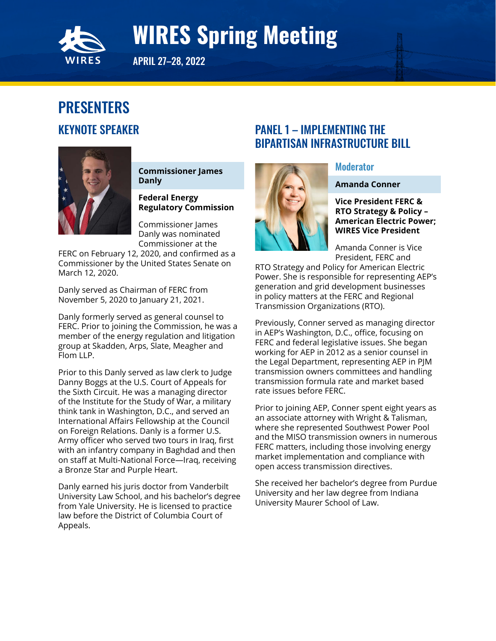<span id="page-1-0"></span>

APRIL 27–28, 2022

### PRESENTERS KEYNOTE SPEAKER



**Commissioner James Danly**

**Federal Energy Regulatory Commission**

Commissioner James Danly was nominated Commissioner at the

FERC on February 12, 2020, and confirmed as a Commissioner by the United States Senate on March 12, 2020.

Danly served as Chairman of FERC from November 5, 2020 to January 21, 2021.

Danly formerly served as general counsel to FERC. Prior to joining the Commission, he was a member of the energy regulation and litigation group at Skadden, Arps, Slate, Meagher and Flom LLP.

Prior to this Danly served as law clerk to Judge Danny Boggs at the U.S. Court of Appeals for the Sixth Circuit. He was a managing director of the Institute for the Study of War, a military think tank in Washington, D.C., and served an International Affairs Fellowship at the Council on Foreign Relations. Danly is a former U.S. Army officer who served two tours in Iraq, first with an infantry company in Baghdad and then on staff at Multi-National Force—Iraq, receiving a Bronze Star and Purple Heart.

Danly earned his juris doctor from Vanderbilt University Law School, and his bachelor's degree from Yale University. He is licensed to practice law before the District of Columbia Court of Appeals.

#### PANEL 1 – IMPLEMENTING THE BIPARTISAN INFRASTRUCTURE BILL



### **Moderator**

#### **Amanda Conner**

**Vice President FERC & RTO Strategy & Policy – American Electric Power; WIRES Vice President**

Amanda Conner is Vice President, FERC and

RTO Strategy and Policy for American Electric Power. She is responsible for representing AEP's generation and grid development businesses in policy matters at the FERC and Regional Transmission Organizations (RTO).

Previously, Conner served as managing director in AEP's Washington, D.C., office, focusing on FERC and federal legislative issues. She began working for AEP in 2012 as a senior counsel in the Legal Department, representing AEP in PJM transmission owners committees and handling transmission formula rate and market based rate issues before FERC.

Prior to joining AEP, Conner spent eight years as an associate attorney with Wright & Talisman, where she represented Southwest Power Pool and the MISO transmission owners in numerous FERC matters, including those involving energy market implementation and compliance with open access transmission directives.

She received her bachelor's degree from Purdue University and her law degree from Indiana University Maurer School of Law.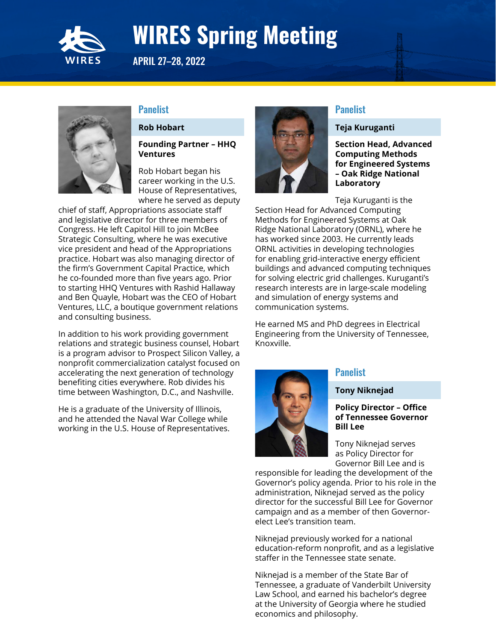

APRIL 27–28, 2022

#### **Panelist**

#### **Rob Hobart**

#### **Founding Partner – HHQ Ventures**

Rob Hobart began his career working in the U.S. House of Representatives, where he served as deputy

chief of staff, Appropriations associate staff and legislative director for three members of Congress. He left Capitol Hill to join McBee Strategic Consulting, where he was executive vice president and head of the Appropriations practice. Hobart was also managing director of the firm's Government Capital Practice, which he co-founded more than five years ago. Prior to starting HHQ Ventures with Rashid Hallaway and Ben Quayle, Hobart was the CEO of Hobart Ventures, LLC, a boutique government relations and consulting business.

In addition to his work providing government relations and strategic business counsel, Hobart is a program advisor to Prospect Silicon Valley, a nonprofit commercialization catalyst focused on accelerating the next generation of technology benefiting cities everywhere. Rob divides his time between Washington, D.C., and Nashville.

He is a graduate of the University of Illinois, and he attended the Naval War College while working in the U.S. House of Representatives.



#### **Panelist**

#### **Teja Kuruganti**

**Section Head, Advanced Computing Methods for Engineered Systems – Oak Ridge National Laboratory** 

Teja Kuruganti is the

Section Head for Advanced Computing Methods for Engineered Systems at Oak Ridge National Laboratory (ORNL), where he has worked since 2003. He currently leads ORNL activities in developing technologies for enabling grid-interactive energy efficient buildings and advanced computing techniques for solving electric grid challenges. Kuruganti's research interests are in large-scale modeling and simulation of energy systems and communication systems.

He earned MS and PhD degrees in Electrical Engineering from the University of Tennessee, Knoxville.



#### **Panelist**

#### **Tony Niknejad**

#### **Policy Director – Office of Tennessee Governor Bill Lee**

Tony Niknejad serves as Policy Director for Governor Bill Lee and is

responsible for leading the development of the Governor's policy agenda. Prior to his role in the administration, Niknejad served as the policy director for the successful Bill Lee for Governor campaign and as a member of then Governorelect Lee's transition team.

Niknejad previously worked for a national education-reform nonprofit, and as a legislative staffer in the Tennessee state senate.

Niknejad is a member of the State Bar of Tennessee, a graduate of Vanderbilt University Law School, and earned his bachelor's degree at the University of Georgia where he studied economics and philosophy.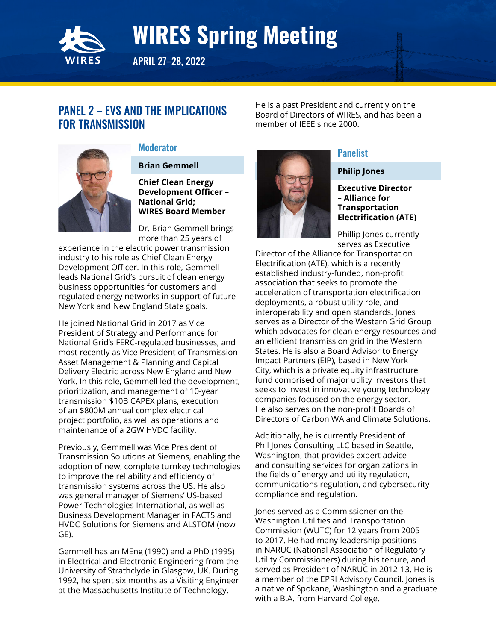<span id="page-3-0"></span>

APRIL 27–28, 2022

#### PANEL 2 – EVS AND THE IMPLICATIONS FOR TRANSMISSION

He is a past President and currently on the Board of Directors of WIRES, and has been a member of IEEE since 2000.



#### **Moderator**

**Brian Gemmell**

**Chief Clean Energy Development Officer – National Grid; WIRES Board Member**

Dr. Brian Gemmell brings more than 25 years of

experience in the electric power transmission industry to his role as Chief Clean Energy Development Officer. In this role, Gemmell leads National Grid's pursuit of clean energy business opportunities for customers and regulated energy networks in support of future New York and New England State goals.

He joined National Grid in 2017 as Vice President of Strategy and Performance for National Grid's FERC-regulated businesses, and most recently as Vice President of Transmission Asset Management & Planning and Capital Delivery Electric across New England and New York. In this role, Gemmell led the development, prioritization, and management of 10-year transmission \$10B CAPEX plans, execution of an \$800M annual complex electrical project portfolio, as well as operations and maintenance of a 2GW HVDC facility.

Previously, Gemmell was Vice President of Transmission Solutions at Siemens, enabling the adoption of new, complete turnkey technologies to improve the reliability and efficiency of transmission systems across the US. He also was general manager of Siemens' US-based Power Technologies International, as well as Business Development Manager in FACTS and HVDC Solutions for Siemens and ALSTOM (now GE).

Gemmell has an MEng (1990) and a PhD (1995) in Electrical and Electronic Engineering from the University of Strathclyde in Glasgow, UK. During 1992, he spent six months as a Visiting Engineer at the Massachusetts Institute of Technology.



#### Panelist

**Philip Jones**

**Executive Director – Alliance for Transportation Electrification (ATE)**

Phillip Jones currently serves as Executive

Director of the Alliance for Transportation Electrification (ATE), which is a recently established industry-funded, non-profit association that seeks to promote the acceleration of transportation electrification deployments, a robust utility role, and interoperability and open standards. Jones serves as a Director of the Western Grid Group which advocates for clean energy resources and an efficient transmission grid in the Western States. He is also a Board Advisor to Energy Impact Partners (EIP), based in New York City, which is a private equity infrastructure fund comprised of major utility investors that seeks to invest in innovative young technology companies focused on the energy sector. He also serves on the non-profit Boards of Directors of Carbon WA and Climate Solutions.

Additionally, he is currently President of Phil Jones Consulting LLC based in Seattle, Washington, that provides expert advice and consulting services for organizations in the fields of energy and utility regulation, communications regulation, and cybersecurity compliance and regulation.

Jones served as a Commissioner on the Washington Utilities and Transportation Commission (WUTC) for 12 years from 2005 to 2017. He had many leadership positions in NARUC (National Association of Regulatory Utility Commissioners) during his tenure, and served as President of NARUC in 2012-13. He is a member of the EPRI Advisory Council. Jones is a native of Spokane, Washington and a graduate with a B.A. from Harvard College.